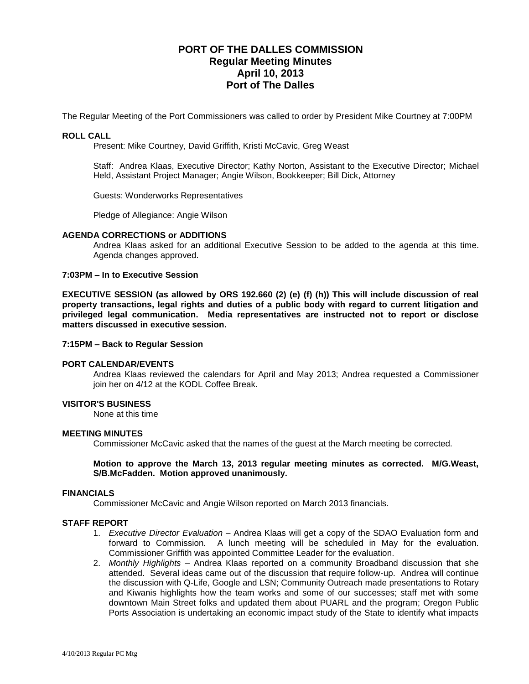# **PORT OF THE DALLES COMMISSION Regular Meeting Minutes April 10, 2013 Port of The Dalles**

The Regular Meeting of the Port Commissioners was called to order by President Mike Courtney at 7:00PM

## **ROLL CALL**

Present: Mike Courtney, David Griffith, Kristi McCavic, Greg Weast

Staff: Andrea Klaas, Executive Director; Kathy Norton, Assistant to the Executive Director; Michael Held, Assistant Project Manager; Angie Wilson, Bookkeeper; Bill Dick, Attorney

Guests: Wonderworks Representatives

Pledge of Allegiance: Angie Wilson

#### **AGENDA CORRECTIONS or ADDITIONS**

Andrea Klaas asked for an additional Executive Session to be added to the agenda at this time. Agenda changes approved.

## **7:03PM – In to Executive Session**

**EXECUTIVE SESSION (as allowed by ORS 192.660 (2) (e) (f) (h)) This will include discussion of real property transactions, legal rights and duties of a public body with regard to current litigation and privileged legal communication. Media representatives are instructed not to report or disclose matters discussed in executive session.**

#### **7:15PM – Back to Regular Session**

#### **PORT CALENDAR/EVENTS**

Andrea Klaas reviewed the calendars for April and May 2013; Andrea requested a Commissioner join her on 4/12 at the KODL Coffee Break.

### **VISITOR'S BUSINESS**

None at this time

#### **MEETING MINUTES**

Commissioner McCavic asked that the names of the guest at the March meeting be corrected.

## **Motion to approve the March 13, 2013 regular meeting minutes as corrected. M/G.Weast, S/B.McFadden. Motion approved unanimously.**

#### **FINANCIALS**

Commissioner McCavic and Angie Wilson reported on March 2013 financials.

#### **STAFF REPORT**

- 1. *Executive Director Evaluation –* Andrea Klaas will get a copy of the SDAO Evaluation form and forward to Commission. A lunch meeting will be scheduled in May for the evaluation. Commissioner Griffith was appointed Committee Leader for the evaluation.
- 2. *Monthly Highlights –* Andrea Klaas reported on a community Broadband discussion that she attended. Several ideas came out of the discussion that require follow-up. Andrea will continue the discussion with Q-Life, Google and LSN; Community Outreach made presentations to Rotary and Kiwanis highlights how the team works and some of our successes; staff met with some downtown Main Street folks and updated them about PUARL and the program; Oregon Public Ports Association is undertaking an economic impact study of the State to identify what impacts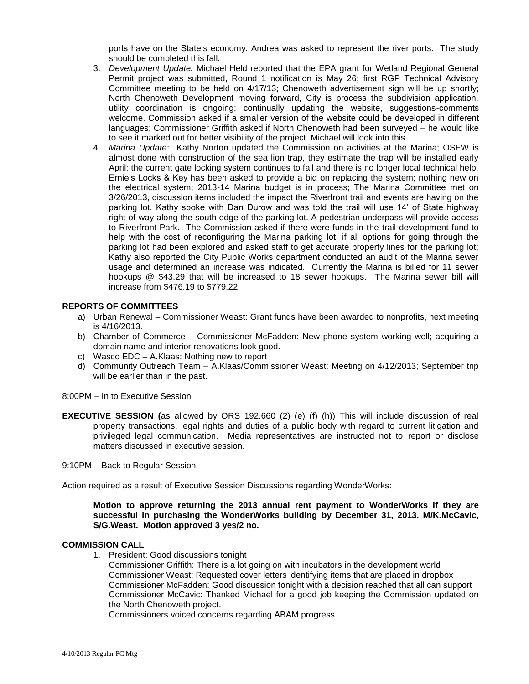ports have on the State's economy. Andrea was asked to represent the river ports. The study should be completed this fall.

- 3. *Development Update:* Michael Held reported that the EPA grant for Wetland Regional General Permit project was submitted, Round 1 notification is May 26; first RGP Technical Advisory Committee meeting to be held on 4/17/13; Chenoweth advertisement sign will be up shortly; North Chenoweth Development moving forward, City is process the subdivision application, utility coordination is ongoing; continually updating the website, suggestions-comments welcome. Commission asked if a smaller version of the website could be developed in different languages; Commissioner Griffith asked if North Chenoweth had been surveyed – he would like to see it marked out for better visibility of the project. Michael will look into this.
- 4. *Marina Update:* Kathy Norton updated the Commission on activities at the Marina; OSFW is almost done with construction of the sea lion trap, they estimate the trap will be installed early April; the current gate locking system continues to fail and there is no longer local technical help. Ernie's Locks & Key has been asked to provide a bid on replacing the system; nothing new on the electrical system; 2013-14 Marina budget is in process; The Marina Committee met on 3/26/2013, discussion items included the impact the Riverfront trail and events are having on the parking lot. Kathy spoke with Dan Durow and was told the trail will use 14' of State highway right-of-way along the south edge of the parking lot. A pedestrian underpass will provide access to Riverfront Park. The Commission asked if there were funds in the trail development fund to help with the cost of reconfiguring the Marina parking lot; if all options for going through the parking lot had been explored and asked staff to get accurate property lines for the parking lot; Kathy also reported the City Public Works department conducted an audit of the Marina sewer usage and determined an increase was indicated. Currently the Marina is billed for 11 sewer hookups @ \$43.29 that will be increased to 18 sewer hookups. The Marina sewer bill will increase from \$476.19 to \$779.22.

## **REPORTS OF COMMITTEES**

- a) Urban Renewal Commissioner Weast: Grant funds have been awarded to nonprofits, next meeting is 4/16/2013.
- b) Chamber of Commerce Commissioner McFadden: New phone system working well; acquiring a domain name and interior renovations look good.
- c) Wasco EDC A.Klaas: Nothing new to report
- d) Community Outreach Team A.Klaas/Commissioner Weast: Meeting on 4/12/2013; September trip will be earlier than in the past.

8:00PM – In to Executive Session

**EXECUTIVE SESSION (**as allowed by ORS 192.660 (2) (e) (f) (h)) This will include discussion of real property transactions, legal rights and duties of a public body with regard to current litigation and privileged legal communication. Media representatives are instructed not to report or disclose matters discussed in executive session.

9:10PM – Back to Regular Session

Action required as a result of Executive Session Discussions regarding WonderWorks:

**Motion to approve returning the 2013 annual rent payment to WonderWorks if they are successful in purchasing the WonderWorks building by December 31, 2013. M/K.McCavic, S/G.Weast. Motion approved 3 yes/2 no.**

#### **COMMISSION CALL**

1. President: Good discussions tonight

Commissioner Griffith: There is a lot going on with incubators in the development world Commissioner Weast: Requested cover letters identifying items that are placed in dropbox Commissioner McFadden: Good discussion tonight with a decision reached that all can support Commissioner McCavic: Thanked Michael for a good job keeping the Commission updated on the North Chenoweth project.

Commissioners voiced concerns regarding ABAM progress.